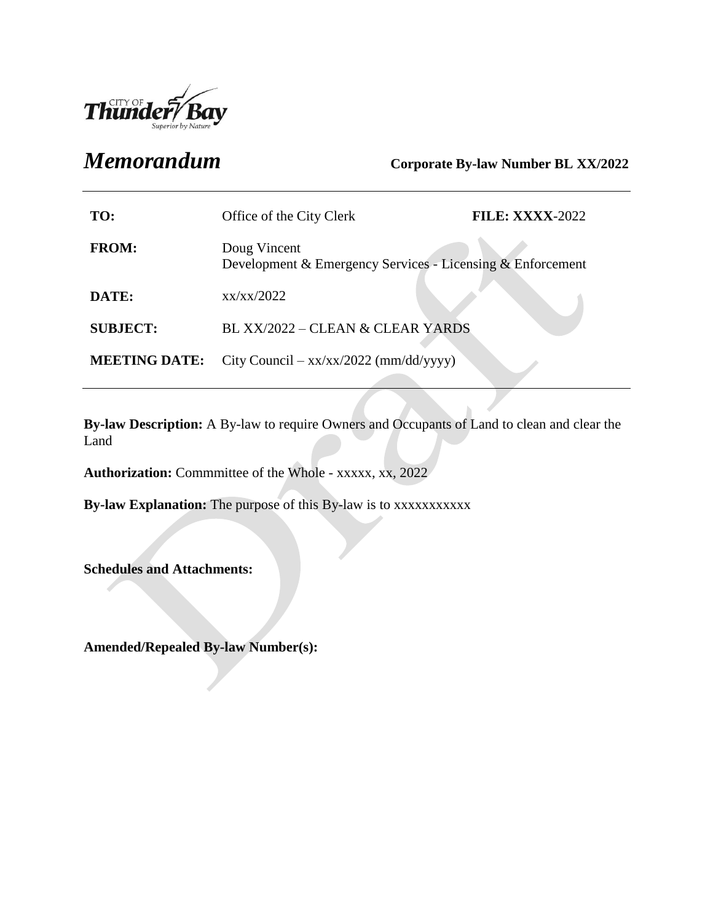

# *Memorandum* **Corporate By-law Number BL XX/2022**

| TO:                  | Office of the City Clerk                                                   | <b>FILE: XXXX-2022</b> |
|----------------------|----------------------------------------------------------------------------|------------------------|
| <b>FROM:</b>         | Doug Vincent<br>Development & Emergency Services - Licensing & Enforcement |                        |
| DATE:                | xx/xx/2022                                                                 |                        |
| <b>SUBJECT:</b>      | BL XX/2022 – CLEAN & CLEAR YARDS                                           |                        |
| <b>MEETING DATE:</b> | City Council – $xx/xx/2022$ (mm/dd/yyyy)                                   |                        |

**By-law Description:** A By-law to require Owners and Occupants of Land to clean and clear the Land

**Authorization:** Commmittee of the Whole - xxxxx, xx, 2022

**By-law Explanation:** The purpose of this By-law is to xxxxxxxxxxx

**Schedules and Attachments:**

**Amended/Repealed By-law Number(s):**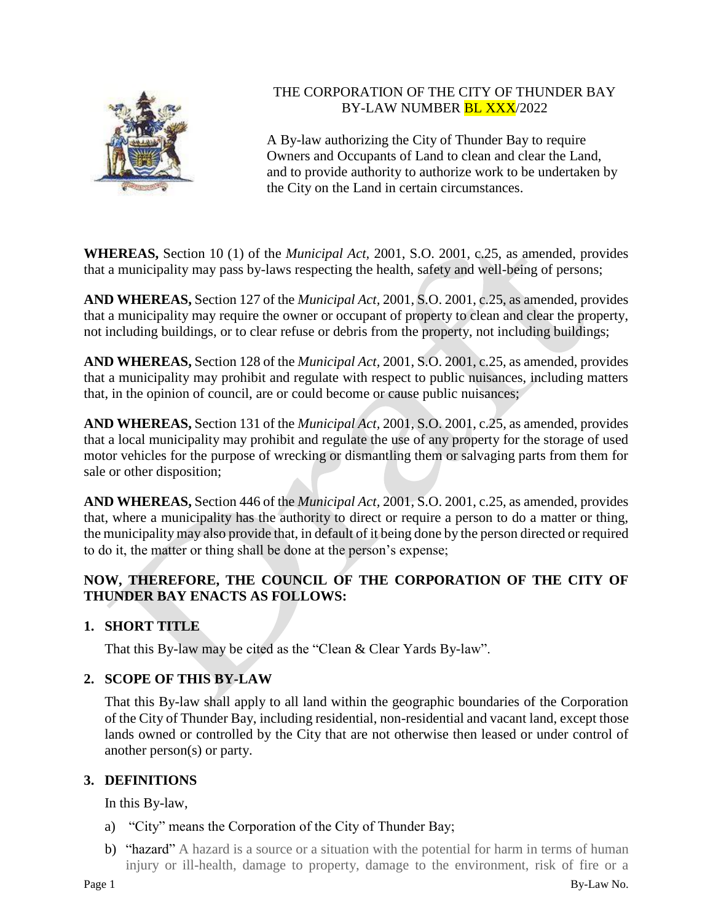

# THE CORPORATION OF THE CITY OF THUNDER BAY BY-LAW NUMBER **BL XXX**/2022

A By-law authorizing the City of Thunder Bay to require Owners and Occupants of Land to clean and clear the Land, and to provide authority to authorize work to be undertaken by the City on the Land in certain circumstances.

**WHEREAS,** Section 10 (1) of the *Municipal Act,* 2001, S.O. 2001, c.25, as amended, provides that a municipality may pass by-laws respecting the health, safety and well-being of persons;

**AND WHEREAS,** Section 127 of the *Municipal Act,* 2001, S.O. 2001, c.25, as amended, provides that a municipality may require the owner or occupant of property to clean and clear the property, not including buildings, or to clear refuse or debris from the property, not including buildings;

**AND WHEREAS,** Section 128 of the *Municipal Act,* 2001, S.O. 2001, c.25, as amended, provides that a municipality may prohibit and regulate with respect to public nuisances, including matters that, in the opinion of council, are or could become or cause public nuisances;

**AND WHEREAS,** Section 131 of the *Municipal Act,* 2001, S.O. 2001, c.25, as amended, provides that a local municipality may prohibit and regulate the use of any property for the storage of used motor vehicles for the purpose of wrecking or dismantling them or salvaging parts from them for sale or other disposition;

**AND WHEREAS,** Section 446 of the *Municipal Act,* 2001, S.O. 2001, c.25, as amended, provides that, where a municipality has the authority to direct or require a person to do a matter or thing, the municipality may also provide that, in default of it being done by the person directed or required to do it, the matter or thing shall be done at the person's expense;

# **NOW, THEREFORE, THE COUNCIL OF THE CORPORATION OF THE CITY OF THUNDER BAY ENACTS AS FOLLOWS:**

# **1. SHORT TITLE**

That this By-law may be cited as the "Clean & Clear Yards By-law".

# **2. SCOPE OF THIS BY-LAW**

That this By-law shall apply to all land within the geographic boundaries of the Corporation of the City of Thunder Bay, including residential, non-residential and vacant land, except those lands owned or controlled by the City that are not otherwise then leased or under control of another person(s) or party.

# **3. DEFINITIONS**

In this By-law,

- a) "City" means the Corporation of the City of Thunder Bay;
- b) "hazard" A hazard is a source or a situation with the potential for harm in terms of human injury or ill-health, damage to property, damage to the environment, risk of fire or a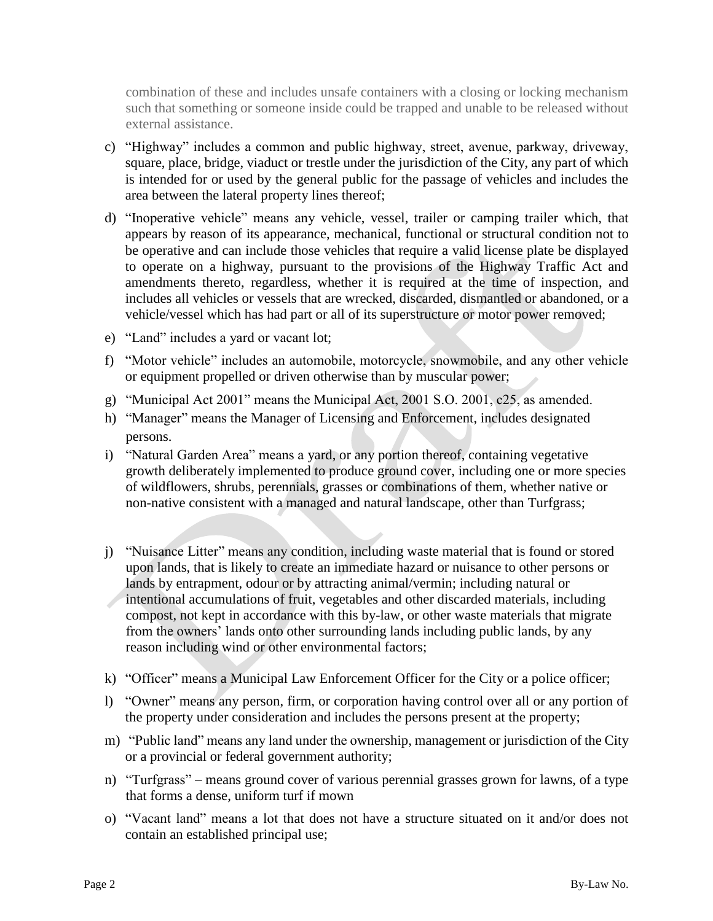combination of these and includes unsafe containers with a closing or locking mechanism such that something or someone inside could be trapped and unable to be released without external assistance.

- c) "Highway" includes a common and public highway, street, avenue, parkway, driveway, square, place, bridge, viaduct or trestle under the jurisdiction of the City, any part of which is intended for or used by the general public for the passage of vehicles and includes the area between the lateral property lines thereof;
- d) "Inoperative vehicle" means any vehicle, vessel, trailer or camping trailer which, that appears by reason of its appearance, mechanical, functional or structural condition not to be operative and can include those vehicles that require a valid license plate be displayed to operate on a highway, pursuant to the provisions of the Highway Traffic Act and amendments thereto, regardless, whether it is required at the time of inspection, and includes all vehicles or vessels that are wrecked, discarded, dismantled or abandoned, or a vehicle/vessel which has had part or all of its superstructure or motor power removed;
- e) "Land" includes a yard or vacant lot;
- f) "Motor vehicle" includes an automobile, motorcycle, snowmobile, and any other vehicle or equipment propelled or driven otherwise than by muscular power;
- g) "Municipal Act 2001" means the Municipal Act, 2001 S.O. 2001, c25, as amended.
- h) "Manager" means the Manager of Licensing and Enforcement, includes designated persons.
- i) "Natural Garden Area" means a yard, or any portion thereof, containing vegetative growth deliberately implemented to produce ground cover, including one or more species of wildflowers, shrubs, perennials, grasses or combinations of them, whether native or non-native consistent with a managed and natural landscape, other than Turfgrass;
- j) "Nuisance Litter" means any condition, including waste material that is found or stored upon lands, that is likely to create an immediate hazard or nuisance to other persons or lands by entrapment, odour or by attracting animal/vermin; including natural or intentional accumulations of fruit, vegetables and other discarded materials, including compost, not kept in accordance with this by-law, or other waste materials that migrate from the owners' lands onto other surrounding lands including public lands, by any reason including wind or other environmental factors;
- k) "Officer" means a Municipal Law Enforcement Officer for the City or a police officer;
- l) "Owner" means any person, firm, or corporation having control over all or any portion of the property under consideration and includes the persons present at the property;
- m) "Public land" means any land under the ownership, management or jurisdiction of the City or a provincial or federal government authority;
- n) "Turfgrass" means ground cover of various perennial grasses grown for lawns, of a type that forms a dense, uniform turf if mown
- o) "Vacant land" means a lot that does not have a structure situated on it and/or does not contain an established principal use;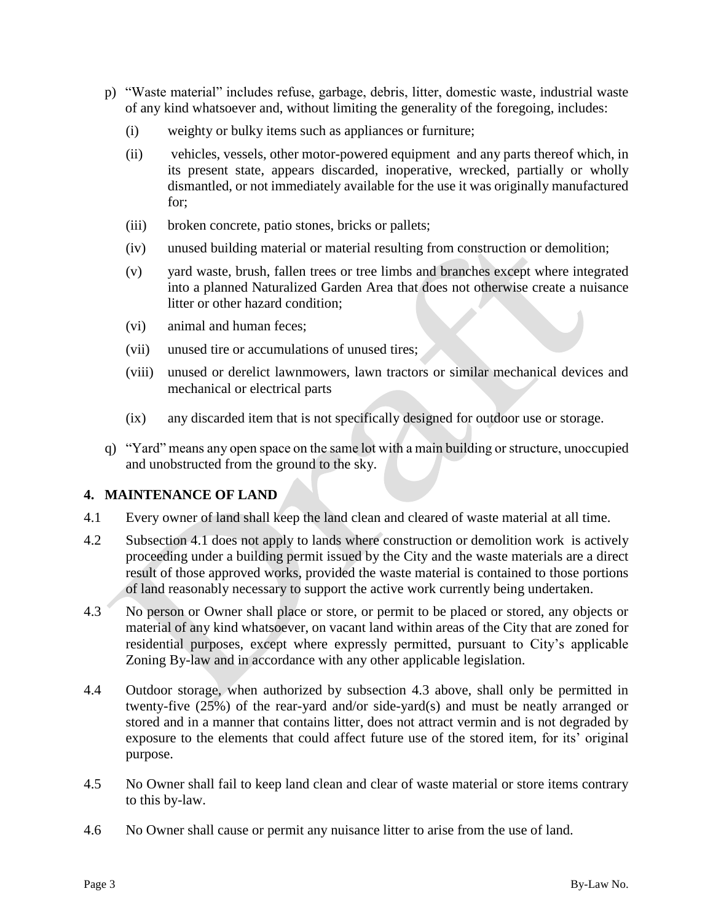- p) "Waste material" includes refuse, garbage, debris, litter, domestic waste, industrial waste of any kind whatsoever and, without limiting the generality of the foregoing, includes:
	- (i) weighty or bulky items such as appliances or furniture;
	- (ii) vehicles, vessels, other motor-powered equipment and any parts thereof which, in its present state, appears discarded, inoperative, wrecked, partially or wholly dismantled, or not immediately available for the use it was originally manufactured for;
	- (iii) broken concrete, patio stones, bricks or pallets;
	- (iv) unused building material or material resulting from construction or demolition;
	- (v) yard waste, brush, fallen trees or tree limbs and branches except where integrated into a planned Naturalized Garden Area that does not otherwise create a nuisance litter or other hazard condition;
	- (vi) animal and human feces;
	- (vii) unused tire or accumulations of unused tires;
	- (viii) unused or derelict lawnmowers, lawn tractors or similar mechanical devices and mechanical or electrical parts
	- (ix) any discarded item that is not specifically designed for outdoor use or storage.
- q) "Yard" means any open space on the same lot with a main building or structure, unoccupied and unobstructed from the ground to the sky.

#### **4. MAINTENANCE OF LAND**

- 4.1 Every owner of land shall keep the land clean and cleared of waste material at all time.
- 4.2 Subsection 4.1 does not apply to lands where construction or demolition work is actively proceeding under a building permit issued by the City and the waste materials are a direct result of those approved works, provided the waste material is contained to those portions of land reasonably necessary to support the active work currently being undertaken.
- 4.3 No person or Owner shall place or store, or permit to be placed or stored, any objects or material of any kind whatsoever, on vacant land within areas of the City that are zoned for residential purposes, except where expressly permitted, pursuant to City's applicable Zoning By-law and in accordance with any other applicable legislation.
- 4.4 Outdoor storage, when authorized by subsection 4.3 above, shall only be permitted in twenty-five (25%) of the rear-yard and/or side-yard(s) and must be neatly arranged or stored and in a manner that contains litter, does not attract vermin and is not degraded by exposure to the elements that could affect future use of the stored item, for its' original purpose.
- 4.5 No Owner shall fail to keep land clean and clear of waste material or store items contrary to this by-law.
- 4.6 No Owner shall cause or permit any nuisance litter to arise from the use of land.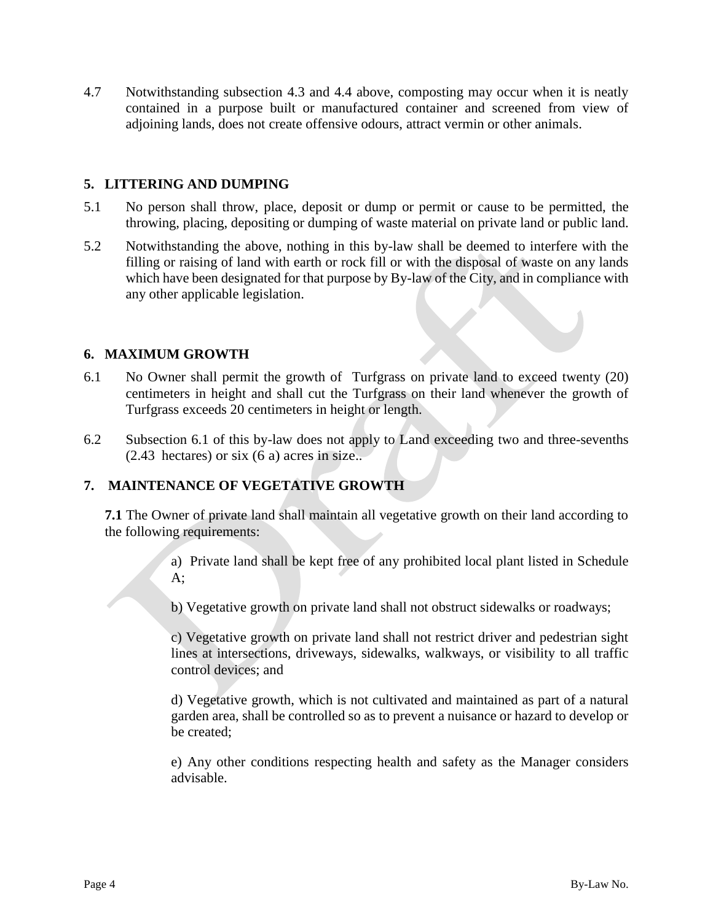4.7 Notwithstanding subsection 4.3 and 4.4 above, composting may occur when it is neatly contained in a purpose built or manufactured container and screened from view of adjoining lands, does not create offensive odours, attract vermin or other animals.

#### **5. LITTERING AND DUMPING**

- 5.1 No person shall throw, place, deposit or dump or permit or cause to be permitted, the throwing, placing, depositing or dumping of waste material on private land or public land.
- 5.2 Notwithstanding the above, nothing in this by-law shall be deemed to interfere with the filling or raising of land with earth or rock fill or with the disposal of waste on any lands which have been designated for that purpose by By-law of the City, and in compliance with any other applicable legislation.

#### **6. MAXIMUM GROWTH**

- 6.1 No Owner shall permit the growth of Turfgrass on private land to exceed twenty (20) centimeters in height and shall cut the Turfgrass on their land whenever the growth of Turfgrass exceeds 20 centimeters in height or length.
- 6.2 Subsection 6.1 of this by-law does not apply to Land exceeding two and three-sevenths  $(2.43 \text{ hectares})$  or six  $(6a)$  acres in size..

#### **7. MAINTENANCE OF VEGETATIVE GROWTH**

**7.1** The Owner of private land shall maintain all vegetative growth on their land according to the following requirements:

> a) Private land shall be kept free of any prohibited local plant listed in Schedule  $A$ :

b) Vegetative growth on private land shall not obstruct sidewalks or roadways;

c) Vegetative growth on private land shall not restrict driver and pedestrian sight lines at intersections, driveways, sidewalks, walkways, or visibility to all traffic control devices; and

d) Vegetative growth, which is not cultivated and maintained as part of a natural garden area, shall be controlled so as to prevent a nuisance or hazard to develop or be created;

e) Any other conditions respecting health and safety as the Manager considers advisable.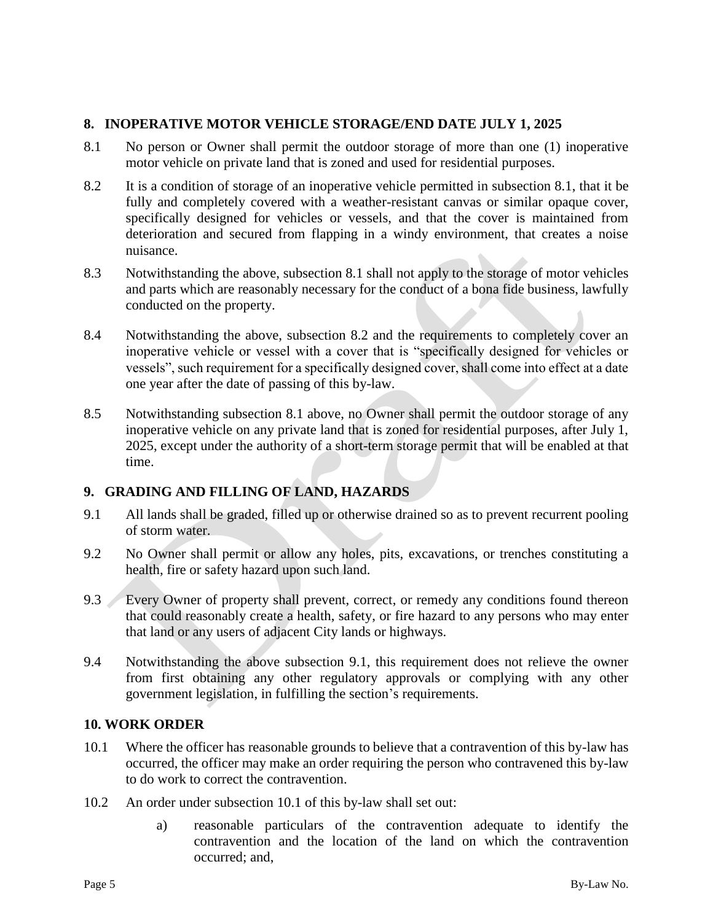### **8. INOPERATIVE MOTOR VEHICLE STORAGE/END DATE JULY 1, 2025**

- 8.1 No person or Owner shall permit the outdoor storage of more than one (1) inoperative motor vehicle on private land that is zoned and used for residential purposes.
- 8.2 It is a condition of storage of an inoperative vehicle permitted in subsection 8.1, that it be fully and completely covered with a weather-resistant canvas or similar opaque cover, specifically designed for vehicles or vessels, and that the cover is maintained from deterioration and secured from flapping in a windy environment, that creates a noise nuisance.
- 8.3 Notwithstanding the above, subsection 8.1 shall not apply to the storage of motor vehicles and parts which are reasonably necessary for the conduct of a bona fide business, lawfully conducted on the property.
- 8.4 Notwithstanding the above, subsection 8.2 and the requirements to completely cover an inoperative vehicle or vessel with a cover that is "specifically designed for vehicles or vessels", such requirement for a specifically designed cover, shall come into effect at a date one year after the date of passing of this by-law.
- 8.5 Notwithstanding subsection 8.1 above, no Owner shall permit the outdoor storage of any inoperative vehicle on any private land that is zoned for residential purposes, after July 1, 2025, except under the authority of a short-term storage permit that will be enabled at that time.

#### **9. GRADING AND FILLING OF LAND, HAZARDS**

- 9.1 All lands shall be graded, filled up or otherwise drained so as to prevent recurrent pooling of storm water.
- 9.2 No Owner shall permit or allow any holes, pits, excavations, or trenches constituting a health, fire or safety hazard upon such land.
- 9.3 Every Owner of property shall prevent, correct, or remedy any conditions found thereon that could reasonably create a health, safety, or fire hazard to any persons who may enter that land or any users of adjacent City lands or highways.
- 9.4 Notwithstanding the above subsection 9.1, this requirement does not relieve the owner from first obtaining any other regulatory approvals or complying with any other government legislation, in fulfilling the section's requirements.

#### **10. WORK ORDER**

- 10.1 Where the officer has reasonable grounds to believe that a contravention of this by-law has occurred, the officer may make an order requiring the person who contravened this by-law to do work to correct the contravention.
- 10.2 An order under subsection 10.1 of this by-law shall set out:
	- a) reasonable particulars of the contravention adequate to identify the contravention and the location of the land on which the contravention occurred; and,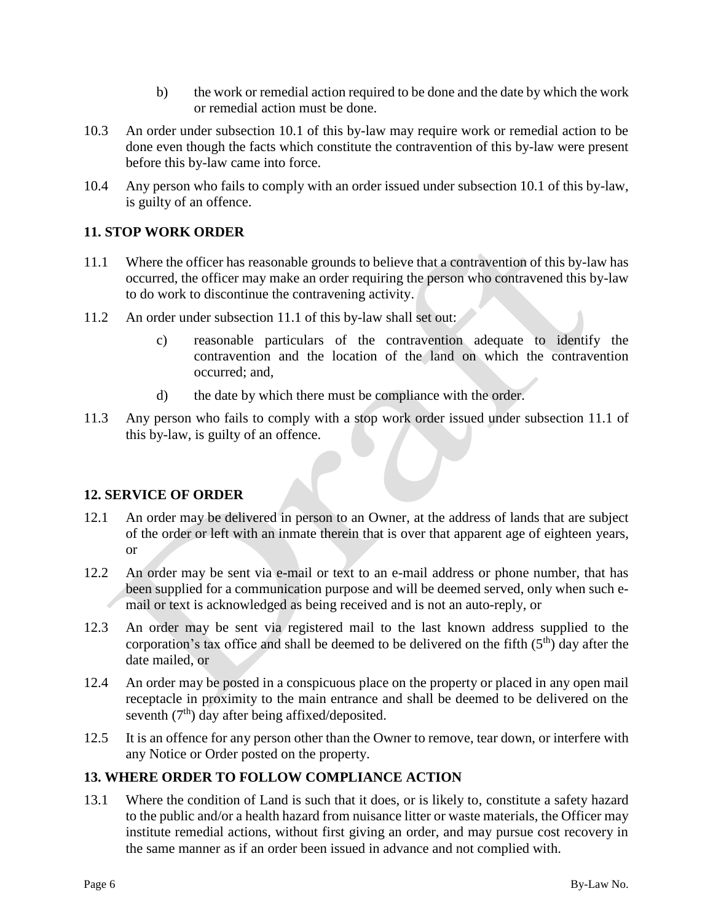- b) the work or remedial action required to be done and the date by which the work or remedial action must be done.
- 10.3 An order under subsection 10.1 of this by-law may require work or remedial action to be done even though the facts which constitute the contravention of this by-law were present before this by-law came into force.
- 10.4 Any person who fails to comply with an order issued under subsection 10.1 of this by-law, is guilty of an offence.

### **11. STOP WORK ORDER**

- 11.1 Where the officer has reasonable grounds to believe that a contravention of this by-law has occurred, the officer may make an order requiring the person who contravened this by-law to do work to discontinue the contravening activity.
- 11.2 An order under subsection 11.1 of this by-law shall set out:
	- c) reasonable particulars of the contravention adequate to identify the contravention and the location of the land on which the contravention occurred; and,
	- d) the date by which there must be compliance with the order.
- 11.3 Any person who fails to comply with a stop work order issued under subsection 11.1 of this by-law, is guilty of an offence.

#### **12. SERVICE OF ORDER**

- 12.1 An order may be delivered in person to an Owner, at the address of lands that are subject of the order or left with an inmate therein that is over that apparent age of eighteen years, or
- 12.2 An order may be sent via e-mail or text to an e-mail address or phone number, that has been supplied for a communication purpose and will be deemed served, only when such email or text is acknowledged as being received and is not an auto-reply, or
- 12.3 An order may be sent via registered mail to the last known address supplied to the corporation's tax office and shall be deemed to be delivered on the fifth  $(5<sup>th</sup>)$  day after the date mailed, or
- 12.4 An order may be posted in a conspicuous place on the property or placed in any open mail receptacle in proximity to the main entrance and shall be deemed to be delivered on the seventh  $(7<sup>th</sup>)$  day after being affixed/deposited.
- 12.5 It is an offence for any person other than the Owner to remove, tear down, or interfere with any Notice or Order posted on the property.

# **13. WHERE ORDER TO FOLLOW COMPLIANCE ACTION**

13.1 Where the condition of Land is such that it does, or is likely to, constitute a safety hazard to the public and/or a health hazard from nuisance litter or waste materials, the Officer may institute remedial actions, without first giving an order, and may pursue cost recovery in the same manner as if an order been issued in advance and not complied with.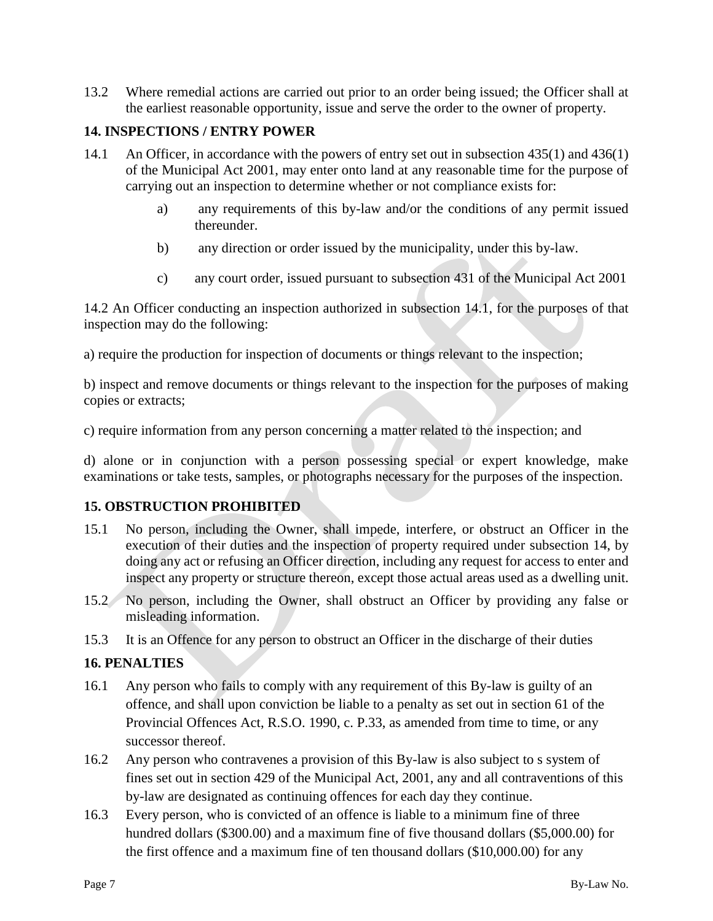13.2 Where remedial actions are carried out prior to an order being issued; the Officer shall at the earliest reasonable opportunity, issue and serve the order to the owner of property.

#### **14. INSPECTIONS / ENTRY POWER**

- 14.1 An Officer, in accordance with the powers of entry set out in subsection 435(1) and 436(1) of the Municipal Act 2001, may enter onto land at any reasonable time for the purpose of carrying out an inspection to determine whether or not compliance exists for:
	- a) any requirements of this by-law and/or the conditions of any permit issued thereunder.
	- b) any direction or order issued by the municipality, under this by-law.
	- c) any court order, issued pursuant to subsection 431 of the Municipal Act 2001

14.2 An Officer conducting an inspection authorized in subsection 14.1, for the purposes of that inspection may do the following:

a) require the production for inspection of documents or things relevant to the inspection;

b) inspect and remove documents or things relevant to the inspection for the purposes of making copies or extracts;

c) require information from any person concerning a matter related to the inspection; and

d) alone or in conjunction with a person possessing special or expert knowledge, make examinations or take tests, samples, or photographs necessary for the purposes of the inspection.

#### **15. OBSTRUCTION PROHIBITED**

- 15.1 No person, including the Owner, shall impede, interfere, or obstruct an Officer in the execution of their duties and the inspection of property required under subsection 14, by doing any act or refusing an Officer direction, including any request for access to enter and inspect any property or structure thereon, except those actual areas used as a dwelling unit.
- 15.2 No person, including the Owner, shall obstruct an Officer by providing any false or misleading information.
- 15.3 It is an Offence for any person to obstruct an Officer in the discharge of their duties

#### **16. PENALTIES**

- 16.1 Any person who fails to comply with any requirement of this By-law is guilty of an offence, and shall upon conviction be liable to a penalty as set out in section 61 of the Provincial Offences Act, R.S.O. 1990, c. P.33, as amended from time to time, or any successor thereof.
- 16.2 Any person who contravenes a provision of this By-law is also subject to s system of fines set out in section 429 of the Municipal Act, 2001, any and all contraventions of this by-law are designated as continuing offences for each day they continue.
- 16.3 Every person, who is convicted of an offence is liable to a minimum fine of three hundred dollars (\$300.00) and a maximum fine of five thousand dollars (\$5,000.00) for the first offence and a maximum fine of ten thousand dollars (\$10,000.00) for any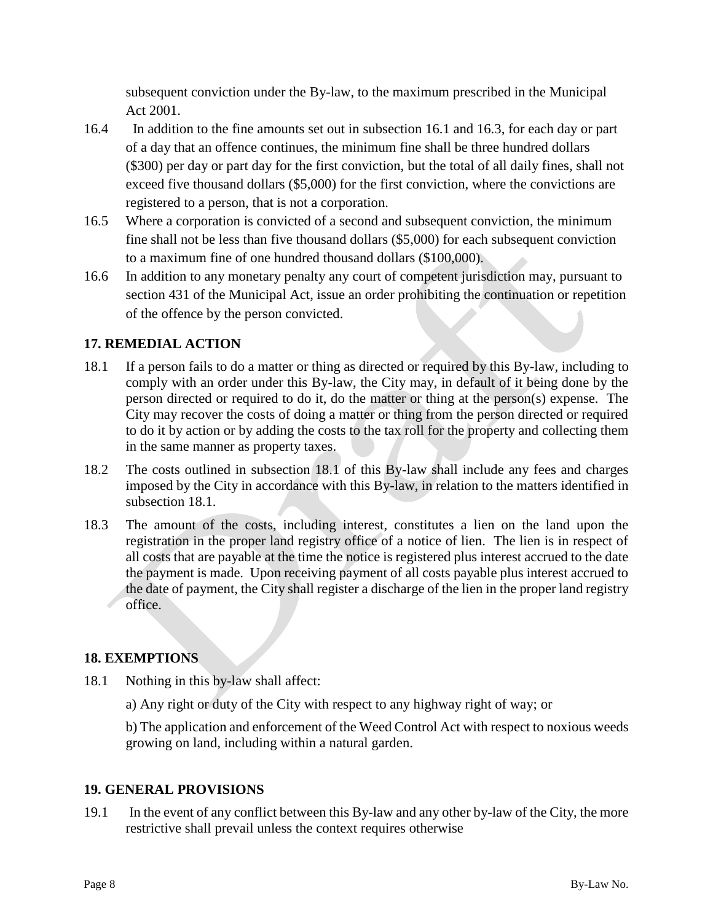subsequent conviction under the By-law, to the maximum prescribed in the Municipal Act 2001.

- 16.4 In addition to the fine amounts set out in subsection 16.1 and 16.3, for each day or part of a day that an offence continues, the minimum fine shall be three hundred dollars (\$300) per day or part day for the first conviction, but the total of all daily fines, shall not exceed five thousand dollars (\$5,000) for the first conviction, where the convictions are registered to a person, that is not a corporation.
- 16.5 Where a corporation is convicted of a second and subsequent conviction, the minimum fine shall not be less than five thousand dollars (\$5,000) for each subsequent conviction to a maximum fine of one hundred thousand dollars (\$100,000).
- 16.6 In addition to any monetary penalty any court of competent jurisdiction may, pursuant to section 431 of the Municipal Act, issue an order prohibiting the continuation or repetition of the offence by the person convicted.

# **17. REMEDIAL ACTION**

- 18.1 If a person fails to do a matter or thing as directed or required by this By-law, including to comply with an order under this By-law, the City may, in default of it being done by the person directed or required to do it, do the matter or thing at the person(s) expense. The City may recover the costs of doing a matter or thing from the person directed or required to do it by action or by adding the costs to the tax roll for the property and collecting them in the same manner as property taxes.
- 18.2 The costs outlined in subsection 18.1 of this By-law shall include any fees and charges imposed by the City in accordance with this By-law, in relation to the matters identified in subsection 18.1.
- 18.3 The amount of the costs, including interest, constitutes a lien on the land upon the registration in the proper land registry office of a notice of lien. The lien is in respect of all costs that are payable at the time the notice is registered plus interest accrued to the date the payment is made. Upon receiving payment of all costs payable plus interest accrued to the date of payment, the City shall register a discharge of the lien in the proper land registry office.

#### **18. EXEMPTIONS**

- 18.1 Nothing in this by-law shall affect:
	- a) Any right or duty of the City with respect to any highway right of way; or

b) The application and enforcement of the Weed Control Act with respect to noxious weeds growing on land, including within a natural garden.

#### **19. GENERAL PROVISIONS**

19.1 In the event of any conflict between this By-law and any other by-law of the City, the more restrictive shall prevail unless the context requires otherwise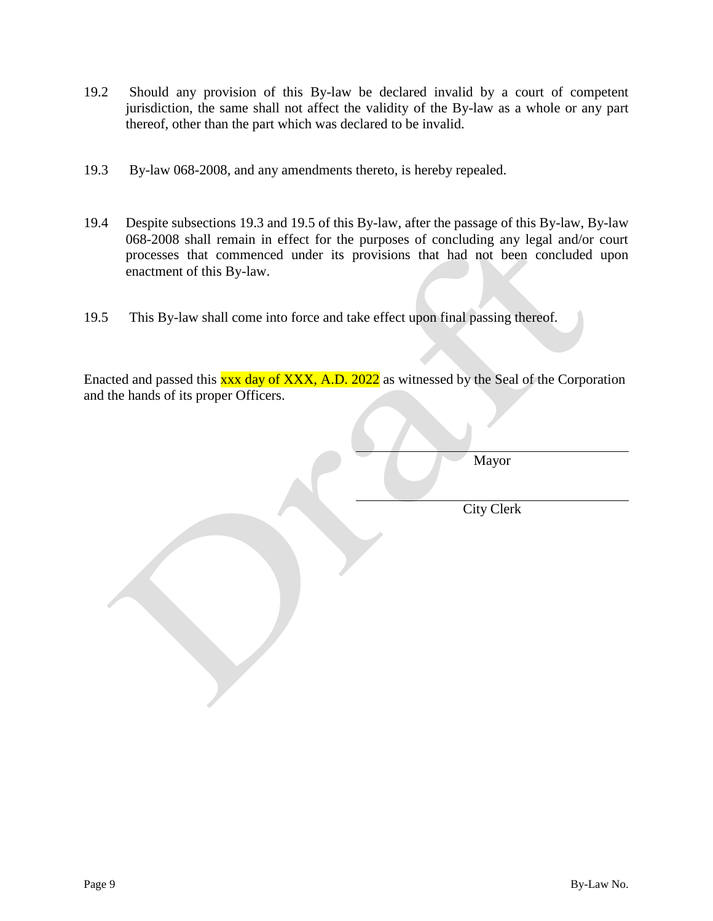- 19.2 Should any provision of this By-law be declared invalid by a court of competent jurisdiction, the same shall not affect the validity of the By-law as a whole or any part thereof, other than the part which was declared to be invalid.
- 19.3 By-law 068-2008, and any amendments thereto, is hereby repealed.
- 19.4 Despite subsections 19.3 and 19.5 of this By-law, after the passage of this By-law, By-law 068-2008 shall remain in effect for the purposes of concluding any legal and/or court processes that commenced under its provisions that had not been concluded upon enactment of this By-law.
- 19.5 This By-law shall come into force and take effect upon final passing thereof.

Enacted and passed this xxx day of XXX, A.D. 2022 as witnessed by the Seal of the Corporation and the hands of its proper Officers.

Mayor

City Clerk